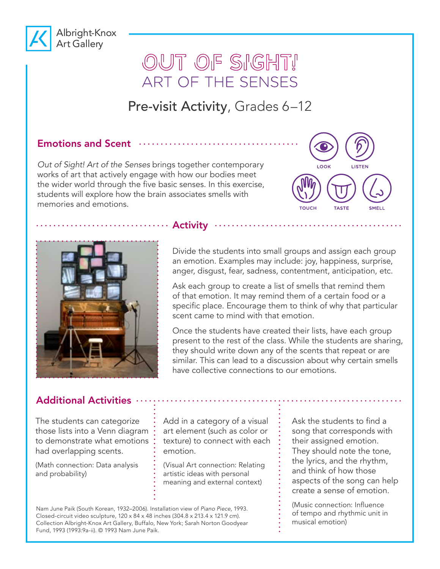

# OUT OF SIGHT! ART OF THE SENSES

## Pre-visit Activity, Grades 6-12

#### Emotions and Scent  $\cdots$

*Out of Sight! Art of the Senses* brings together contemporary works of art that actively engage with how our bodies meet the wider world through the five basic senses. In this exercise, students will explore how the brain associates smells with memories and emotions.





#### ........... Activity ..

Divide the students into small groups and assign each group an emotion. Examples may include: joy, happiness, surprise, anger, disgust, fear, sadness, contentment, anticipation, etc.

Ask each group to create a list of smells that remind them of that emotion. It may remind them of a certain food or a specific place. Encourage them to think of why that particular scent came to mind with that emotion.

Once the students have created their lists, have each group present to the rest of the class. While the students are sharing, they should write down any of the scents that repeat or are similar. This can lead to a discussion about why certain smells have collective connections to our emotions.

### Additional Activities ....

The students can categorize those lists into a Venn diagram to demonstrate what emotions had overlapping scents.

(Math connection: Data analysis and probability)

Add in a category of a visual art element (such as color or texture) to connect with each emotion.

(Visual Art connection: Relating artistic ideas with personal meaning and external context)

Nam June Paik (South Korean, 1932–2006). Installation view of *Piano Piece*, 1993. Closed-circuit video sculpture, 120 x 84 x 48 inches (304.8 x 213.4 x 121.9 cm). Collection Albright-Knox Art Gallery, Buffalo, New York; Sarah Norton Goodyear Fund, 1993 (1993:9a-ii). © 1993 Nam June Paik.

Ask the students to find a song that corresponds with their assigned emotion. They should note the tone, the lyrics, and the rhythm, and think of how those aspects of the song can help create a sense of emotion.

. . . . . . . . . . . . . . . . . .

(Music connection: Influence of tempo and rhythmic unit in musical emotion)